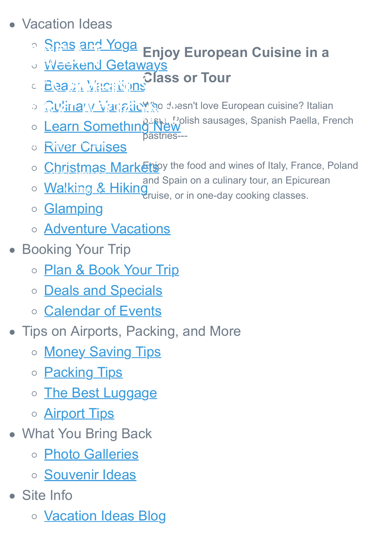- Vacation Ideas
	- **Enjoy European Cuisine in a** <u>[Spas and Yoga](http://www.great-womens-vacations.com/spa-vacations-women.html)</u>
	- **[Weekend Getaways](http://www.great-womens-vacations.com/cheap-weekend-getaways.html) GREAT SERVED ONLY.**
	- **Class or Tour** <u>Beach Vacations</u> C Beach Wrichtions
		- <u>Qυ/inary ViangioMw</u> to deen't love European cuisine? Italian
	- [Learn Something New](http://www.great-womens-vacations.com/learning-vacation.html) pastries BUD OF THE VALUE OF THE VALUE OF THE VALUE OF THE VALUE OF THE VALUE OF THE VALUE OF THE VALUE OF THE VALUE OF<br>A CATALOG OF THE SAME OF THE VALUE OF THE VALUE OF THE VALUE OF THE VALUE OF THE VALUE OF THE VALUE OF THE VALU
		- **OF [River Cruises](http://www.great-womens-vacations.com/river-cruise.html)**
		- [Christmas Markets](http://www.great-womens-vacations.com/european-christmas-market.html) w the food and wines of Italy, France, Poland Daughter Vacations
			- and Spain on a culinary tour, an Epicurean <u>and Suma</u>
			- cruise, or in one-day cooking classes. <u>[Walking & Hiking](http://www.great-womens-vacations.com/walking-tours.html)</u>
			- o **[Glamping](http://www.great-womens-vacations.com/glamping.html)**
			- [Adventure Vacations](http://www.great-womens-vacations.com/womens-adventure-travel.html)
- **Booking Your Trip** 
	- o [Plan & Book Your Trip](http://www.great-womens-vacations.com/plan-and-book-trip.html)
	- o [Deals and Specials](http://www.great-womens-vacations.com/best-travel-deals.html)
	- o [Calendar of Events](http://www.great-womens-vacations.com/upcoming-events.html)
- Tips on Airports, Packing, and More
	- o [Money Saving Tips](http://www.great-womens-vacations.com/save-money-on-travel.html)
	- o **[Packing Tips](http://www.great-womens-vacations.com/packing-tips.html)**
	- o [The Best Luggage](http://www.great-womens-vacations.com/best-travel-luggage.html)
	- o **[Airport Tips](http://www.great-womens-vacations.com/airport-tips.html)**
- What You Bring Back
	- o [Photo Galleries](http://www.great-womens-vacations.com/vacation-photo.html)
	- o [Souvenir Ideas](http://www.great-womens-vacations.com/souvenir-ideas.html)
- Site Info
	- o **[Vacation Ideas Blog](http://www.great-womens-vacations.com/womens-vacations-blog.html)**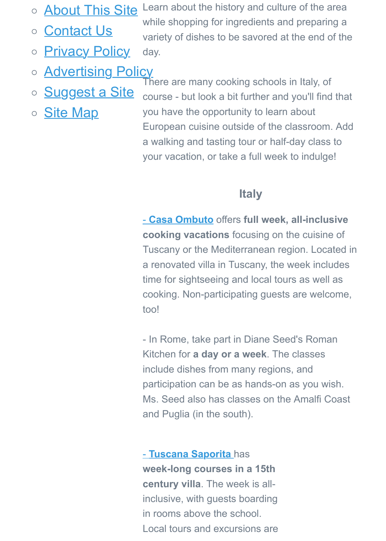- o **[About This Site](http://www.great-womens-vacations.com/about-this-site.html)**
- [Contact Us](http://www.great-womens-vacations.com/contact.html)  $\circ$
- **[Privacy Policy](http://www.great-womens-vacations.com/privacy-policy.html)**  $\bigcirc$

Learn about the history and culture of the area while shopping for ingredients and preparing a variety of dishes to be savored at the end of the day.

- **[Advertising Policy](http://www.great-womens-vacations.com/advertising-policy.html)**  $\bigcirc$
- o **[Suggest a Site](http://www.great-womens-vacations.com/suggest-site.html)**
- **[Site Map](http://www.great-womens-vacations.com/site-map.html)**  $\bigcirc$

There are many cooking schools in Italy, of course - but look a bit further and you'll find that you have the opportunity to learn about European cuisine outside of the classroom. Add a walking and tasting tour or half-day class to your vacation, or take a full week to indulge!

#### **Italy**

- **[Casa Ombuto](http://www.italiancookerycourse.com/)** offers **full week, all-inclusive cooking vacations** focusing on the cuisine of Tuscany or the Mediterranean region. Located in a renovated villa in Tuscany, the week includes time for sightseeing and local tours as well as cooking. Non-participating guests are welcome, too!

- In Rome, take part in Diane Seed's Roman Kitchen for **a day or a week**. The classes include dishes from many regions, and participation can be as hands-on as you wish. Ms. Seed also has classes on the Amalfi Coast and Puglia (in the south).

- **[Tuscana Saporita](http://www.toscanasaporita.com/)** has **week-long courses in a 15th century villa**. The week is allinclusive, with guests boarding in rooms above the school. Local tours and excursions are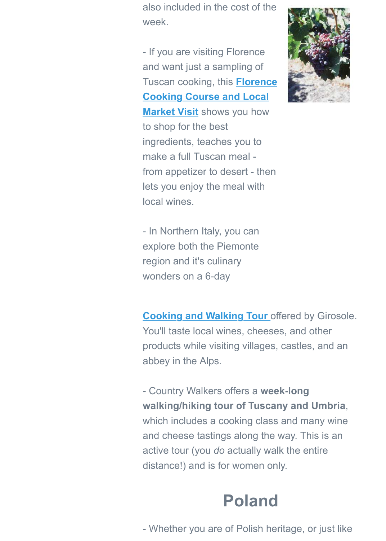also included in the cost of the week.

- If you are visiting Florence and want just a sampling of Tuscan cooking, this **Florence [Cooking Course and Local](http://www.shareasale.com/r.cfm?u=286462&b=132440&m=18208&afftrack=&urllink=www%2Eviator%2Ecom%2Ftours%2FFlorence%2FFlorence%2DCooking%2DCourse%2Dand%2DLocal%2DMarket%2DVisit%2Fd519%2D2428CAFC3)**

**Market Visit** shows you how to shop for the best ingredients, teaches you to make a full Tuscan meal from appetizer to desert - then lets you enjoy the meal with local wines.



- In Northern Italy, you can explore both the Piemonte region and it's culinary wonders on a 6-day

**[Cooking and Walking Tour](http://www.girosole.com/italy-walking-tours/piemonte-cook-walk.html)** offered by Girosole. You'll taste local wines, cheeses, and other products while visiting villages, castles, and an abbey in the Alps.

- Country Walkers offers a **week-long walking/hiking tour of Tuscany and Umbria**, which includes a cooking class and many wine and cheese tastings along the way. This is an active tour (you *do* actually walk the entire distance!) and is for women only.

## **Poland**

- Whether you are of Polish heritage, or just like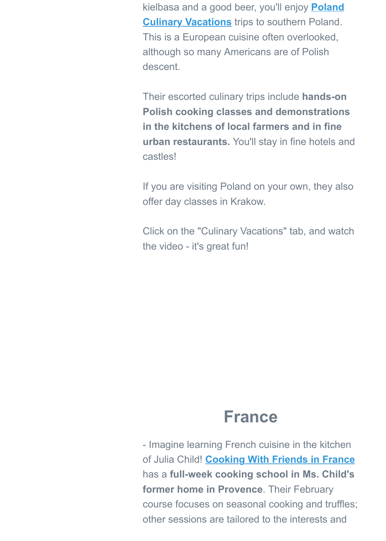[kielbasa and a good beer, you'll enjoy](http://www.polandculinaryvacations.com/vacations.php) **Poland Culinary Vacations** trips to southern Poland. This is a European cuisine often overlooked, although so many Americans are of Polish descent.

Their escorted culinary trips include **hands-on Polish cooking classes and demonstrations in the kitchens of local farmers and in fine urban restaurants.** You'll stay in fine hotels and castles!

If you are visiting Poland on your own, they also offer day classes in Krakow.

Click on the "Culinary Vacations" tab, and watch the video - it's great fun!

### **France**

- Imagine learning French cuisine in the kitchen of Julia Child! **[Cooking With Friends in France](http://www.cookingwithfriends.com/)** has a **full-week cooking school in Ms. Child's former home in Provence**. Their February course focuses on seasonal cooking and truffles; other sessions are tailored to the interests and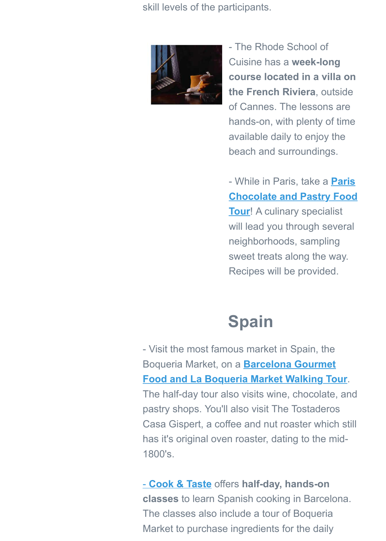skill levels of the participants.



- The Rhode School of Cuisine has a **week-long course located in a villa on the French Riviera**, outside of Cannes. The lessons are hands-on, with plenty of time available daily to enjoy the beach and surroundings.

- While in Paris, take a **Paris [Chocolate and Pastry Food](http://www.shareasale.com/r.cfm?u=286462&b=132440&m=18208&afftrack=&urllink=www%2Eviator%2Ecom%2Ftours%2FParis%2FParis%2DChocolate%2Dand%2DPastry%2DFood%2DTour%2Fd479%2D3234PCT) Tour**! A culinary specialist will lead you through several neighborhoods, sampling sweet treats along the way. Recipes will be provided.

# **Spain**

- Visit the most famous market in Spain, the Boqueria Market, on a **Barcelona Gourmet [Food and La Boqueria Market Walking Tour](http://www.shareasale.com/r.cfm?u=286462&b=132440&m=18208&afftrack=&urllink=www%2Eviator%2Ecom%2Ftours%2FBarcelona%2FBarcelona%2DGourmet%2DFood%2Dand%2DLa%2DBoqueria%2DMarket%2DWalking%2DTour%2Fd562%2D2512BWALK04)**. The half-day tour also visits wine, chocolate, and pastry shops. You'll also visit The Tostaderos Casa Gispert, a coffee and nut roaster which still has it's original oven roaster, dating to the mid-1800's.

- **[Cook & Taste](http://www.cookandtaste.net/)** offers **half-day, hands-on classes** to learn Spanish cooking in Barcelona. The classes also include a tour of Boqueria Market to purchase ingredients for the daily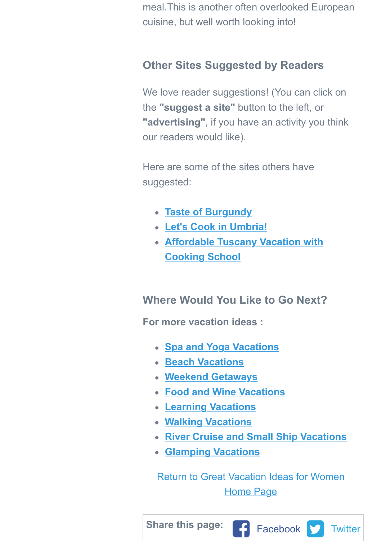meal.This is another often overlooked European cuisine, but well worth looking into!

### **Other Sites Suggested by Readers**

We love reader suggestions! (You can click on the **"suggest a site"** button to the left, or **"advertising"**, if you have an activity you think our readers would like).

Here are some of the sites others have suggested:

- **[Taste of Burgundy](http://www.great-womens-vacations.com/find-your-self-in-france.html)**
- **[Let's Cook in Umbria!](http://www.great-womens-vacations.com/lets-cook-in-umbria.html)**
- **[Affordable Tuscany Vacation with](http://www.great-womens-vacations.com/affordable-tuscany.html) Cooking School**

**Where Would You Like to Go Next?**

**For more vacation ideas :**

- **[Spa and Yoga Vacations](http://www.great-womens-vacations.com/spa-vacations-women.html)**
- **[Beach Vacations](http://www.great-womens-vacations.com/best-beach-vacations.html)**
- **[Weekend Getaways](http://www.great-womens-vacations.com/cheap-weekend-getaways.html)**
- **[Food and Wine Vacations](http://www.great-womens-vacations.com/cooking-trips.html)**
- **[Learning Vacations](http://great-womens-vacations.com/learning-vacation.html)**
- **[Walking Vacations](http://www.great-womens-vacations.com/walking-tours.html)**
- **[River Cruise and Small Ship Vacations](http://www.great-womens-vacations.com/river-cruise.html)**
- **[Glamping Vacations](http://www.great-womens-vacations.com/glamping.html)**

[Return to Great Vacation Ideas for Women](http://www.great-womens-vacations.com/) Home Page